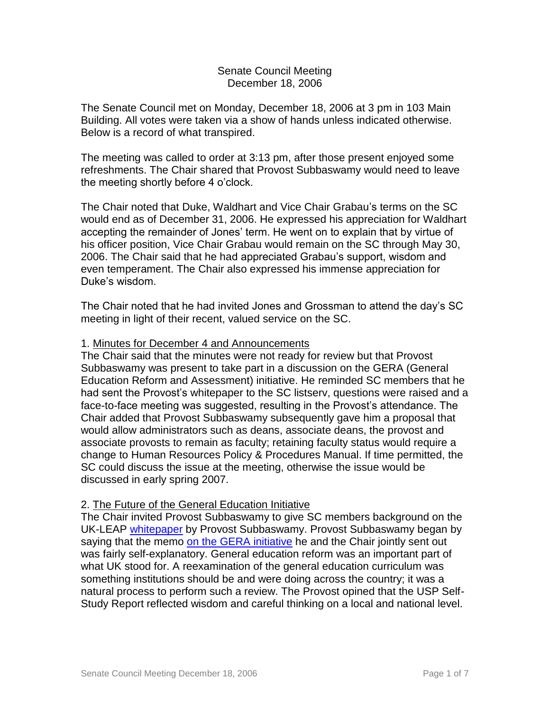## Senate Council Meeting December 18, 2006

The Senate Council met on Monday, December 18, 2006 at 3 pm in 103 Main Building. All votes were taken via a show of hands unless indicated otherwise. Below is a record of what transpired.

The meeting was called to order at 3:13 pm, after those present enjoyed some refreshments. The Chair shared that Provost Subbaswamy would need to leave the meeting shortly before 4 o'clock.

The Chair noted that Duke, Waldhart and Vice Chair Grabau's terms on the SC would end as of December 31, 2006. He expressed his appreciation for Waldhart accepting the remainder of Jones' term. He went on to explain that by virtue of his officer position, Vice Chair Grabau would remain on the SC through May 30, 2006. The Chair said that he had appreciated Grabau's support, wisdom and even temperament. The Chair also expressed his immense appreciation for Duke's wisdom.

The Chair noted that he had invited Jones and Grossman to attend the day's SC meeting in light of their recent, valued service on the SC.

## 1. Minutes for December 4 and Announcements

The Chair said that the minutes were not ready for review but that Provost Subbaswamy was present to take part in a discussion on the GERA (General Education Reform and Assessment) initiative. He reminded SC members that he had sent the Provost's whitepaper to the SC listserv, questions were raised and a face-to-face meeting was suggested, resulting in the Provost's attendance. The Chair added that Provost Subbaswamy subsequently gave him a proposal that would allow administrators such as deans, associate deans, the provost and associate provosts to remain as faculty; retaining faculty status would require a change to Human Resources Policy & Procedures Manual. If time permitted, the SC could discuss the issue at the meeting, otherwise the issue would be discussed in early spring 2007.

## 2. The Future of the General Education Initiative

The Chair invited Provost Subbaswamy to give SC members background on the UK-LEAP [whitepaper](http://www.uky.edu/USC/New/files/20061218/UK-LEAP.pdf) by Provost Subbaswamy. Provost Subbaswamy began by saying that the memo [on the GERA initiative](http://www.uky.edu/USC/New/files/20061218/USP%20Reform%20Steering%20Committee.pdf) he and the Chair jointly sent out was fairly self-explanatory. General education reform was an important part of what UK stood for. A reexamination of the general education curriculum was something institutions should be and were doing across the country; it was a natural process to perform such a review. The Provost opined that the USP Self-Study Report reflected wisdom and careful thinking on a local and national level.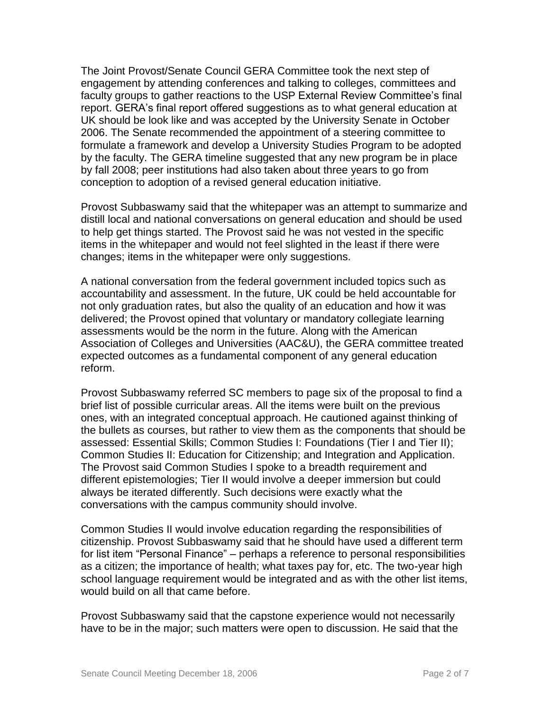The Joint Provost/Senate Council GERA Committee took the next step of engagement by attending conferences and talking to colleges, committees and faculty groups to gather reactions to the USP External Review Committee's final report. GERA's final report offered suggestions as to what general education at UK should be look like and was accepted by the University Senate in October 2006. The Senate recommended the appointment of a steering committee to formulate a framework and develop a University Studies Program to be adopted by the faculty. The GERA timeline suggested that any new program be in place by fall 2008; peer institutions had also taken about three years to go from conception to adoption of a revised general education initiative.

Provost Subbaswamy said that the whitepaper was an attempt to summarize and distill local and national conversations on general education and should be used to help get things started. The Provost said he was not vested in the specific items in the whitepaper and would not feel slighted in the least if there were changes; items in the whitepaper were only suggestions.

A national conversation from the federal government included topics such as accountability and assessment. In the future, UK could be held accountable for not only graduation rates, but also the quality of an education and how it was delivered; the Provost opined that voluntary or mandatory collegiate learning assessments would be the norm in the future. Along with the American Association of Colleges and Universities (AAC&U), the GERA committee treated expected outcomes as a fundamental component of any general education reform.

Provost Subbaswamy referred SC members to page six of the proposal to find a brief list of possible curricular areas. All the items were built on the previous ones, with an integrated conceptual approach. He cautioned against thinking of the bullets as courses, but rather to view them as the components that should be assessed: Essential Skills; Common Studies I: Foundations (Tier I and Tier II); Common Studies II: Education for Citizenship; and Integration and Application. The Provost said Common Studies I spoke to a breadth requirement and different epistemologies; Tier II would involve a deeper immersion but could always be iterated differently. Such decisions were exactly what the conversations with the campus community should involve.

Common Studies II would involve education regarding the responsibilities of citizenship. Provost Subbaswamy said that he should have used a different term for list item "Personal Finance" – perhaps a reference to personal responsibilities as a citizen; the importance of health; what taxes pay for, etc. The two-year high school language requirement would be integrated and as with the other list items, would build on all that came before.

Provost Subbaswamy said that the capstone experience would not necessarily have to be in the major; such matters were open to discussion. He said that the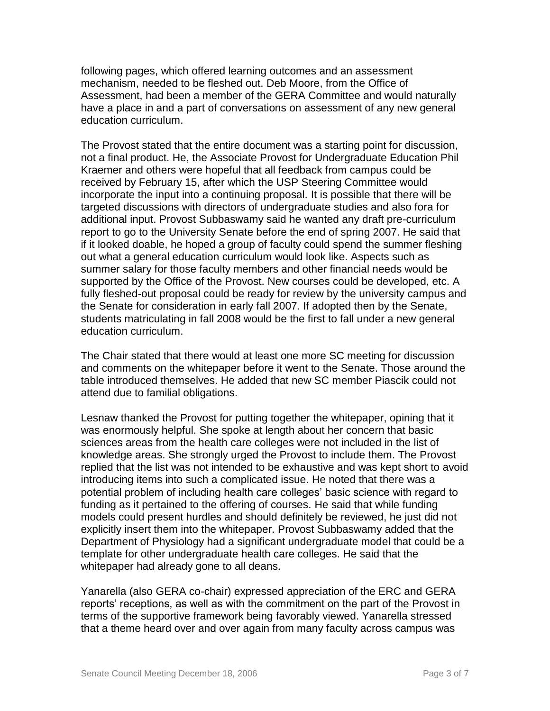following pages, which offered learning outcomes and an assessment mechanism, needed to be fleshed out. Deb Moore, from the Office of Assessment, had been a member of the GERA Committee and would naturally have a place in and a part of conversations on assessment of any new general education curriculum.

The Provost stated that the entire document was a starting point for discussion, not a final product. He, the Associate Provost for Undergraduate Education Phil Kraemer and others were hopeful that all feedback from campus could be received by February 15, after which the USP Steering Committee would incorporate the input into a continuing proposal. It is possible that there will be targeted discussions with directors of undergraduate studies and also fora for additional input. Provost Subbaswamy said he wanted any draft pre-curriculum report to go to the University Senate before the end of spring 2007. He said that if it looked doable, he hoped a group of faculty could spend the summer fleshing out what a general education curriculum would look like. Aspects such as summer salary for those faculty members and other financial needs would be supported by the Office of the Provost. New courses could be developed, etc. A fully fleshed-out proposal could be ready for review by the university campus and the Senate for consideration in early fall 2007. If adopted then by the Senate, students matriculating in fall 2008 would be the first to fall under a new general education curriculum.

The Chair stated that there would at least one more SC meeting for discussion and comments on the whitepaper before it went to the Senate. Those around the table introduced themselves. He added that new SC member Piascik could not attend due to familial obligations.

Lesnaw thanked the Provost for putting together the whitepaper, opining that it was enormously helpful. She spoke at length about her concern that basic sciences areas from the health care colleges were not included in the list of knowledge areas. She strongly urged the Provost to include them. The Provost replied that the list was not intended to be exhaustive and was kept short to avoid introducing items into such a complicated issue. He noted that there was a potential problem of including health care colleges' basic science with regard to funding as it pertained to the offering of courses. He said that while funding models could present hurdles and should definitely be reviewed, he just did not explicitly insert them into the whitepaper. Provost Subbaswamy added that the Department of Physiology had a significant undergraduate model that could be a template for other undergraduate health care colleges. He said that the whitepaper had already gone to all deans.

Yanarella (also GERA co-chair) expressed appreciation of the ERC and GERA reports' receptions, as well as with the commitment on the part of the Provost in terms of the supportive framework being favorably viewed. Yanarella stressed that a theme heard over and over again from many faculty across campus was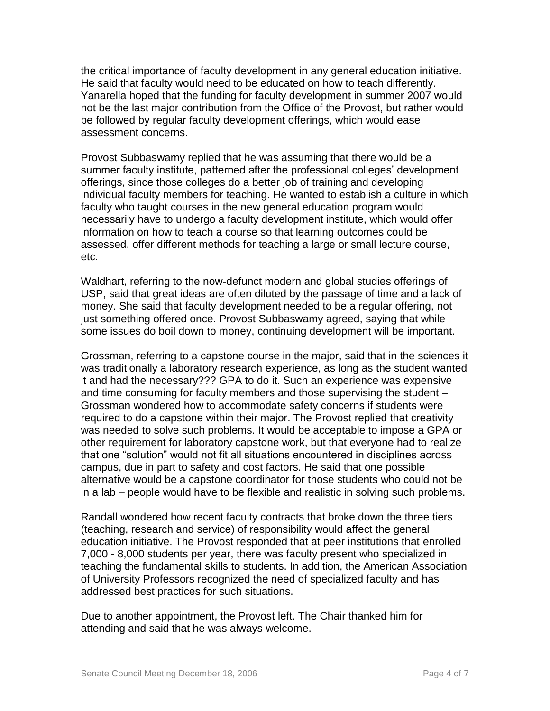the critical importance of faculty development in any general education initiative. He said that faculty would need to be educated on how to teach differently. Yanarella hoped that the funding for faculty development in summer 2007 would not be the last major contribution from the Office of the Provost, but rather would be followed by regular faculty development offerings, which would ease assessment concerns.

Provost Subbaswamy replied that he was assuming that there would be a summer faculty institute, patterned after the professional colleges' development offerings, since those colleges do a better job of training and developing individual faculty members for teaching. He wanted to establish a culture in which faculty who taught courses in the new general education program would necessarily have to undergo a faculty development institute, which would offer information on how to teach a course so that learning outcomes could be assessed, offer different methods for teaching a large or small lecture course, etc.

Waldhart, referring to the now-defunct modern and global studies offerings of USP, said that great ideas are often diluted by the passage of time and a lack of money. She said that faculty development needed to be a regular offering, not just something offered once. Provost Subbaswamy agreed, saying that while some issues do boil down to money, continuing development will be important.

Grossman, referring to a capstone course in the major, said that in the sciences it was traditionally a laboratory research experience, as long as the student wanted it and had the necessary??? GPA to do it. Such an experience was expensive and time consuming for faculty members and those supervising the student – Grossman wondered how to accommodate safety concerns if students were required to do a capstone within their major. The Provost replied that creativity was needed to solve such problems. It would be acceptable to impose a GPA or other requirement for laboratory capstone work, but that everyone had to realize that one "solution" would not fit all situations encountered in disciplines across campus, due in part to safety and cost factors. He said that one possible alternative would be a capstone coordinator for those students who could not be in a lab – people would have to be flexible and realistic in solving such problems.

Randall wondered how recent faculty contracts that broke down the three tiers (teaching, research and service) of responsibility would affect the general education initiative. The Provost responded that at peer institutions that enrolled 7,000 - 8,000 students per year, there was faculty present who specialized in teaching the fundamental skills to students. In addition, the American Association of University Professors recognized the need of specialized faculty and has addressed best practices for such situations.

Due to another appointment, the Provost left. The Chair thanked him for attending and said that he was always welcome.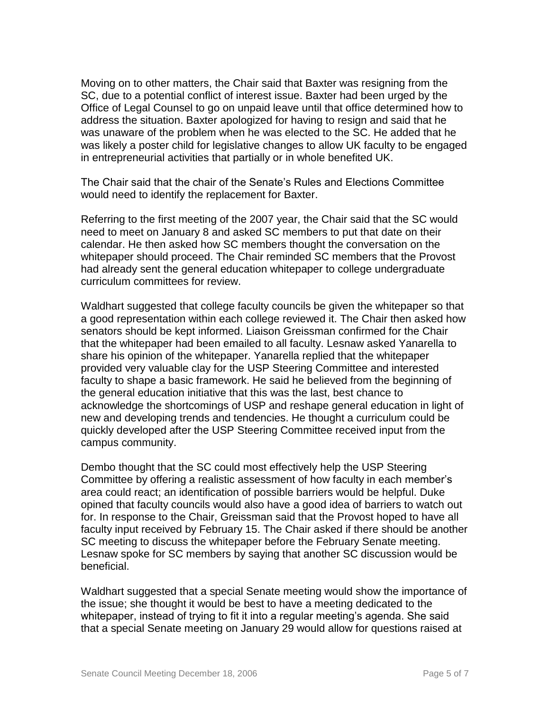Moving on to other matters, the Chair said that Baxter was resigning from the SC, due to a potential conflict of interest issue. Baxter had been urged by the Office of Legal Counsel to go on unpaid leave until that office determined how to address the situation. Baxter apologized for having to resign and said that he was unaware of the problem when he was elected to the SC. He added that he was likely a poster child for legislative changes to allow UK faculty to be engaged in entrepreneurial activities that partially or in whole benefited UK.

The Chair said that the chair of the Senate's Rules and Elections Committee would need to identify the replacement for Baxter.

Referring to the first meeting of the 2007 year, the Chair said that the SC would need to meet on January 8 and asked SC members to put that date on their calendar. He then asked how SC members thought the conversation on the whitepaper should proceed. The Chair reminded SC members that the Provost had already sent the general education whitepaper to college undergraduate curriculum committees for review.

Waldhart suggested that college faculty councils be given the whitepaper so that a good representation within each college reviewed it. The Chair then asked how senators should be kept informed. Liaison Greissman confirmed for the Chair that the whitepaper had been emailed to all faculty. Lesnaw asked Yanarella to share his opinion of the whitepaper. Yanarella replied that the whitepaper provided very valuable clay for the USP Steering Committee and interested faculty to shape a basic framework. He said he believed from the beginning of the general education initiative that this was the last, best chance to acknowledge the shortcomings of USP and reshape general education in light of new and developing trends and tendencies. He thought a curriculum could be quickly developed after the USP Steering Committee received input from the campus community.

Dembo thought that the SC could most effectively help the USP Steering Committee by offering a realistic assessment of how faculty in each member's area could react; an identification of possible barriers would be helpful. Duke opined that faculty councils would also have a good idea of barriers to watch out for. In response to the Chair, Greissman said that the Provost hoped to have all faculty input received by February 15. The Chair asked if there should be another SC meeting to discuss the whitepaper before the February Senate meeting. Lesnaw spoke for SC members by saying that another SC discussion would be beneficial.

Waldhart suggested that a special Senate meeting would show the importance of the issue; she thought it would be best to have a meeting dedicated to the whitepaper, instead of trying to fit it into a regular meeting's agenda. She said that a special Senate meeting on January 29 would allow for questions raised at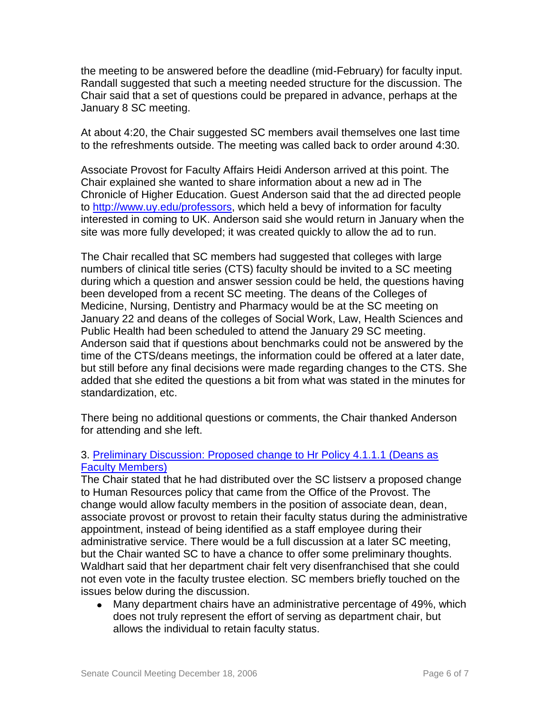the meeting to be answered before the deadline (mid-February) for faculty input. Randall suggested that such a meeting needed structure for the discussion. The Chair said that a set of questions could be prepared in advance, perhaps at the January 8 SC meeting.

At about 4:20, the Chair suggested SC members avail themselves one last time to the refreshments outside. The meeting was called back to order around 4:30.

Associate Provost for Faculty Affairs Heidi Anderson arrived at this point. The Chair explained she wanted to share information about a new ad in The Chronicle of Higher Education. Guest Anderson said that the ad directed people to [http://www.uy.edu/professors,](http://www.uy.edu/professors) which held a bevy of information for faculty interested in coming to UK. Anderson said she would return in January when the site was more fully developed; it was created quickly to allow the ad to run.

The Chair recalled that SC members had suggested that colleges with large numbers of clinical title series (CTS) faculty should be invited to a SC meeting during which a question and answer session could be held, the questions having been developed from a recent SC meeting. The deans of the Colleges of Medicine, Nursing, Dentistry and Pharmacy would be at the SC meeting on January 22 and deans of the colleges of Social Work, Law, Health Sciences and Public Health had been scheduled to attend the January 29 SC meeting. Anderson said that if questions about benchmarks could not be answered by the time of the CTS/deans meetings, the information could be offered at a later date, but still before any final decisions were made regarding changes to the CTS. She added that she edited the questions a bit from what was stated in the minutes for standardization, etc.

There being no additional questions or comments, the Chair thanked Anderson for attending and she left.

## 3. [Preliminary Discussion: Proposed change to Hr Policy 4.1.1.1 \(Deans as](http://www.uky.edu/USC/New/files/20061218/HR%204%201%201%201%20_tracked%20revision%2011-16-06_.pdf)  [Faculty Members\)](http://www.uky.edu/USC/New/files/20061218/HR%204%201%201%201%20_tracked%20revision%2011-16-06_.pdf)

The Chair stated that he had distributed over the SC listserv a proposed change to Human Resources policy that came from the Office of the Provost. The change would allow faculty members in the position of associate dean, dean, associate provost or provost to retain their faculty status during the administrative appointment, instead of being identified as a staff employee during their administrative service. There would be a full discussion at a later SC meeting, but the Chair wanted SC to have a chance to offer some preliminary thoughts. Waldhart said that her department chair felt very disenfranchised that she could not even vote in the faculty trustee election. SC members briefly touched on the issues below during the discussion.

Many department chairs have an administrative percentage of 49%, which does not truly represent the effort of serving as department chair, but allows the individual to retain faculty status.